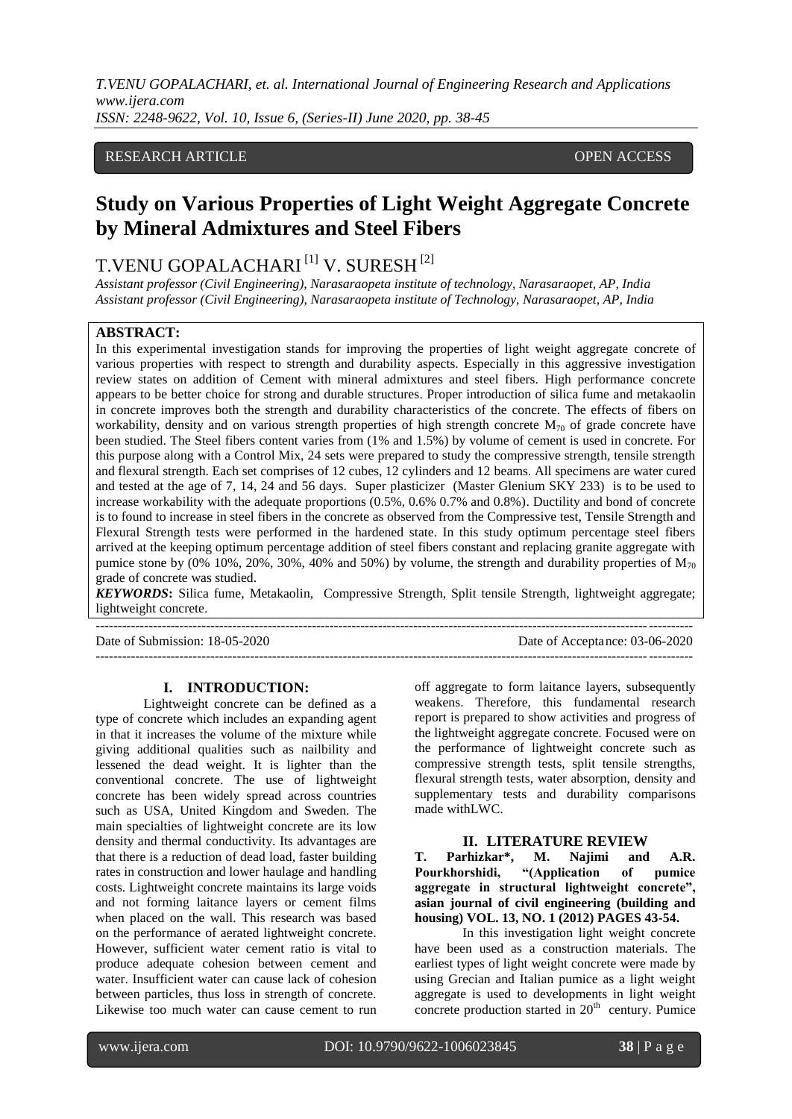# RESEARCH ARTICLE **CONTRACT ARTICLE** AND A SERVICE OPEN ACCESS

# **Study on Various Properties of Light Weight Aggregate Concrete by Mineral Admixtures and Steel Fibers**

# T.VENU GOPALACHARI<sup>[1]</sup> V. SURESH<sup>[2]</sup>

*Assistant professor (Civil Engineering), Narasaraopeta institute of technology, Narasaraopet, AP, India Assistant professor (Civil Engineering), Narasaraopeta institute of Technology, Narasaraopet, AP, India* 

### **ABSTRACT:**

In this experimental investigation stands for improving the properties of light weight aggregate concrete of various properties with respect to strength and durability aspects. Especially in this aggressive investigation review states on addition of Cement with mineral admixtures and steel fibers. High performance concrete appears to be better choice for strong and durable structures. Proper introduction of silica fume and metakaolin in concrete improves both the strength and durability characteristics of the concrete. The effects of fibers on workability, density and on various strength properties of high strength concrete  $M_{70}$  of grade concrete have been studied. The Steel fibers content varies from (1% and 1.5%) by volume of cement is used in concrete. For this purpose along with a Control Mix, 24 sets were prepared to study the compressive strength, tensile strength and flexural strength. Each set comprises of 12 cubes, 12 cylinders and 12 beams. All specimens are water cured and tested at the age of 7, 14, 24 and 56 days. Super plasticizer (Master Glenium SKY 233) is to be used to increase workability with the adequate proportions (0.5%, 0.6% 0.7% and 0.8%). Ductility and bond of concrete is to found to increase in steel fibers in the concrete as observed from the Compressive test, Tensile Strength and Flexural Strength tests were performed in the hardened state. In this study optimum percentage steel fibers arrived at the keeping optimum percentage addition of steel fibers constant and replacing granite aggregate with pumice stone by (0% 10%, 20%, 30%, 40% and 50%) by volume, the strength and durability properties of  $M_{70}$ grade of concrete was studied.

*KEYWORDS***:** Silica fume, Metakaolin, Compressive Strength, Split tensile Strength, lightweight aggregate; lightweight concrete.

--------------------------------------------------------------------------------------------------------------------------------------- Date of Submission: 18-05-2020 Date of Acceptance: 03-06-2020 ---------------------------------------------------------------------------------------------------------------------------------------

#### **I. INTRODUCTION:**

Lightweight concrete can be defined as a type of concrete which includes an expanding agent in that it increases the volume of the mixture while giving additional qualities such as nailbility and lessened the dead weight. It is lighter than the conventional concrete. The use of lightweight concrete has been widely spread across countries such as USA, United Kingdom and Sweden. The main specialties of lightweight concrete are its low density and thermal conductivity. Its advantages are that there is a reduction of dead load, faster building rates in construction and lower haulage and handling costs. Lightweight concrete maintains its large voids and not forming laitance layers or cement films when placed on the wall. This research was based on the performance of aerated lightweight concrete. However, sufficient water cement ratio is vital to produce adequate cohesion between cement and water. Insufficient water can cause lack of cohesion between particles, thus loss in strength of concrete. Likewise too much water can cause cement to run off aggregate to form laitance layers, subsequently weakens. Therefore, this fundamental research report is prepared to show activities and progress of the lightweight aggregate concrete. Focused were on the performance of lightweight concrete such as compressive strength tests, split tensile strengths, flexural strength tests, water absorption, density and supplementary tests and durability comparisons made withLWC.

#### **II. LITERATURE REVIEW**

**T. Parhizkar\*, M. Najimi and A.R. Pourkhorshidi, "(Application of pumice aggregate in structural lightweight concrete", asian journal of civil engineering (building and housing) VOL. 13, NO. 1 (2012) PAGES 43-54.**

In this investigation light weight concrete have been used as a construction materials. The earliest types of light weight concrete were made by using Grecian and Italian pumice as a light weight aggregate is used to developments in light weight concrete production started in  $20<sup>th</sup>$  century. Pumice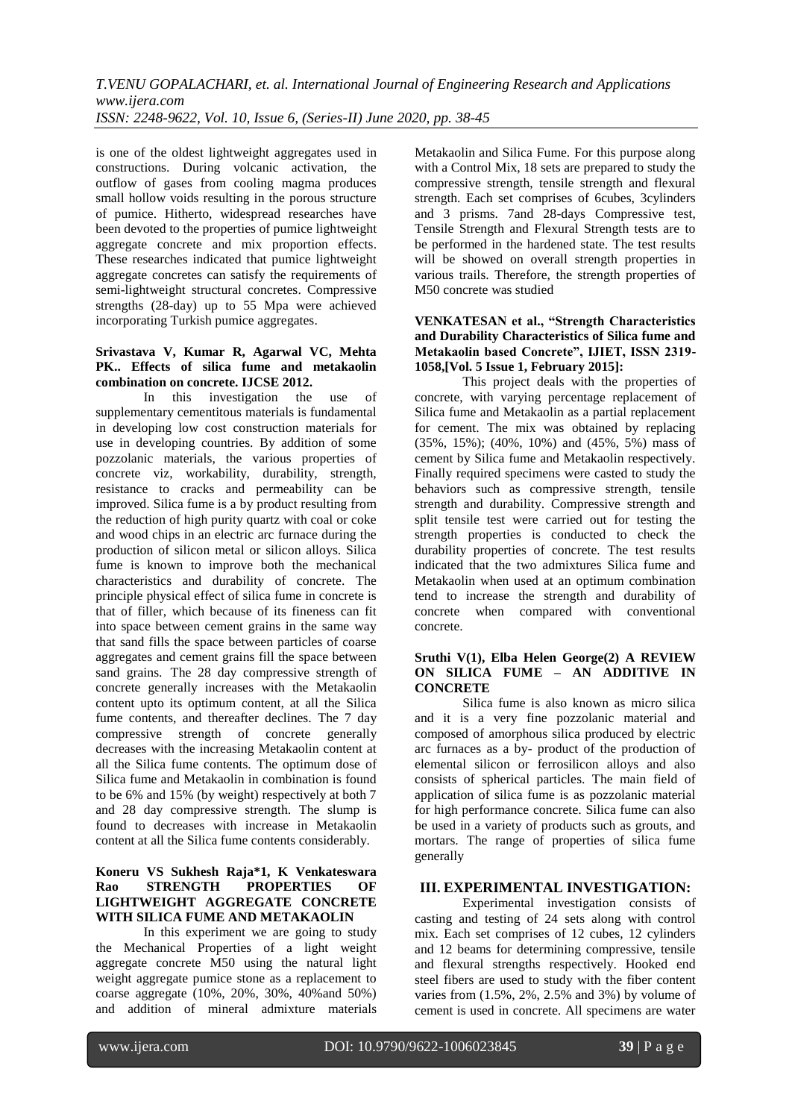is one of the oldest lightweight aggregates used in constructions. During volcanic activation, the outflow of gases from cooling magma produces small hollow voids resulting in the porous structure of pumice. Hitherto, widespread researches have been devoted to the properties of pumice lightweight aggregate concrete and mix proportion effects. These researches indicated that pumice lightweight aggregate concretes can satisfy the requirements of semi-lightweight structural concretes. Compressive strengths (28-day) up to 55 Mpa were achieved incorporating Turkish pumice aggregates.

## **Srivastava V, Kumar R, Agarwal VC, Mehta PK.. Effects of silica fume and metakaolin combination on concrete. IJCSE 2012.**

In this investigation the use of supplementary cementitous materials is fundamental in developing low cost construction materials for use in developing countries. By addition of some pozzolanic materials, the various properties of concrete viz, workability, durability, strength, resistance to cracks and permeability can be improved. Silica fume is a by product resulting from the reduction of high purity quartz with coal or coke and wood chips in an electric arc furnace during the production of silicon metal or silicon alloys. Silica fume is known to improve both the mechanical characteristics and durability of concrete. The principle physical effect of silica fume in concrete is that of filler, which because of its fineness can fit into space between cement grains in the same way that sand fills the space between particles of coarse aggregates and cement grains fill the space between sand grains. The 28 day compressive strength of concrete generally increases with the Metakaolin content upto its optimum content, at all the Silica fume contents, and thereafter declines. The 7 day compressive strength of concrete generally decreases with the increasing Metakaolin content at all the Silica fume contents. The optimum dose of Silica fume and Metakaolin in combination is found to be 6% and 15% (by weight) respectively at both 7 and 28 day compressive strength. The slump is found to decreases with increase in Metakaolin content at all the Silica fume contents considerably.

## **Koneru VS Sukhesh Raja\*1, K Venkateswara Rao STRENGTH PROPERTIES OF LIGHTWEIGHT AGGREGATE CONCRETE WITH SILICA FUME AND METAKAOLIN**

In this experiment we are going to study the Mechanical Properties of a light weight aggregate concrete M50 using the natural light weight aggregate pumice stone as a replacement to coarse aggregate (10%, 20%, 30%, 40%and 50%) and addition of mineral admixture materials Metakaolin and Silica Fume. For this purpose along with a Control Mix, 18 sets are prepared to study the compressive strength, tensile strength and flexural strength. Each set comprises of 6cubes, 3cylinders and 3 prisms. 7and 28-days Compressive test, Tensile Strength and Flexural Strength tests are to be performed in the hardened state. The test results will be showed on overall strength properties in various trails. Therefore, the strength properties of M50 concrete was studied

## **VENKATESAN et al., "Strength Characteristics and Durability Characteristics of Silica fume and Metakaolin based Concrete", IJIET, ISSN 2319- 1058,[Vol. 5 Issue 1, February 2015]:**

This project deals with the properties of concrete, with varying percentage replacement of Silica fume and Metakaolin as a partial replacement for cement. The mix was obtained by replacing (35%, 15%); (40%, 10%) and (45%, 5%) mass of cement by Silica fume and Metakaolin respectively. Finally required specimens were casted to study the behaviors such as compressive strength, tensile strength and durability. Compressive strength and split tensile test were carried out for testing the strength properties is conducted to check the durability properties of concrete. The test results indicated that the two admixtures Silica fume and Metakaolin when used at an optimum combination tend to increase the strength and durability of concrete when compared with conventional concrete.

## **Sruthi V(1), Elba Helen George(2) A REVIEW ON SILICA FUME – AN ADDITIVE IN CONCRETE**

Silica fume is also known as micro silica and it is a very fine pozzolanic material and composed of amorphous silica produced by electric arc furnaces as a by- product of the production of elemental silicon or ferrosilicon alloys and also consists of spherical particles. The main field of application of silica fume is as pozzolanic material for high performance concrete. Silica fume can also be used in a variety of products such as grouts, and mortars. The range of properties of silica fume generally

# **III. EXPERIMENTAL INVESTIGATION:**

Experimental investigation consists of casting and testing of 24 sets along with control mix. Each set comprises of 12 cubes, 12 cylinders and 12 beams for determining compressive, tensile and flexural strengths respectively. Hooked end steel fibers are used to study with the fiber content varies from (1.5%, 2%, 2.5% and 3%) by volume of cement is used in concrete. All specimens are water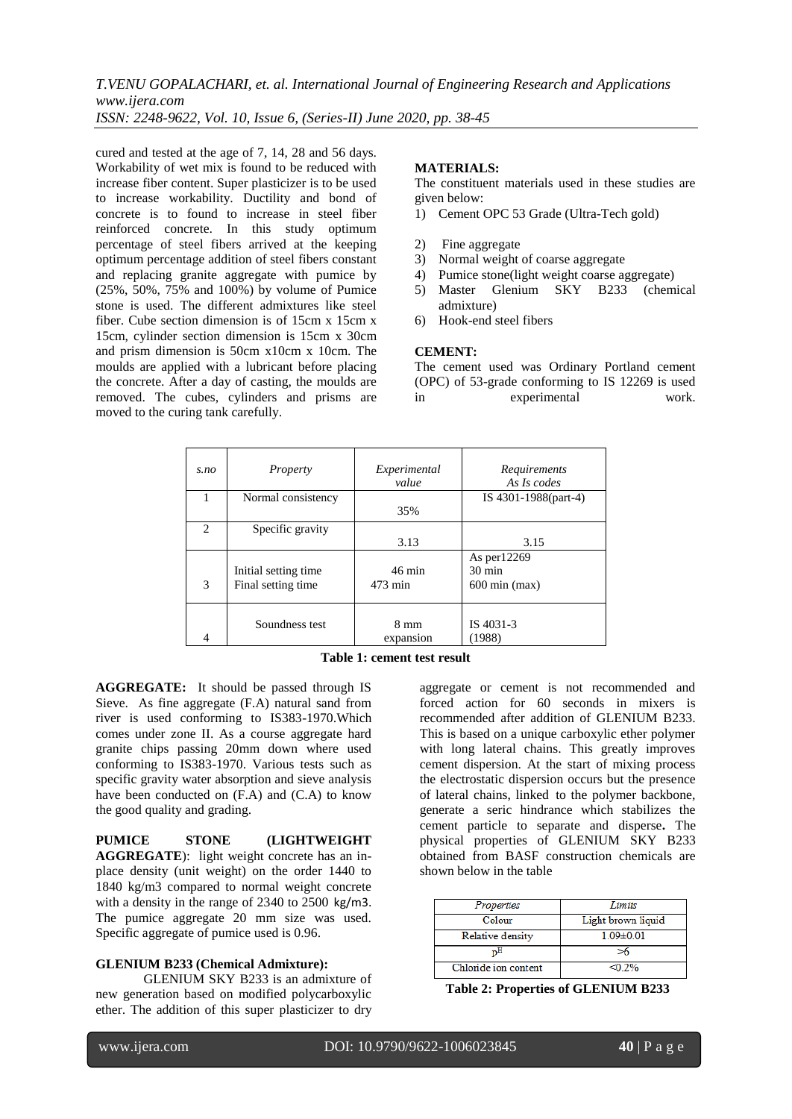cured and tested at the age of 7, 14, 28 and 56 days. Workability of wet mix is found to be reduced with increase fiber content. Super plasticizer is to be used to increase workability. Ductility and bond of concrete is to found to increase in steel fiber reinforced concrete. In this study optimum percentage of steel fibers arrived at the keeping optimum percentage addition of steel fibers constant and replacing granite aggregate with pumice by (25%, 50%, 75% and 100%) by volume of Pumice stone is used. The different admixtures like steel fiber. Cube section dimension is of 15cm x 15cm x 15cm, cylinder section dimension is 15cm x 30cm and prism dimension is 50cm x10cm x 10cm. The moulds are applied with a lubricant before placing the concrete. After a day of casting, the moulds are removed. The cubes, cylinders and prisms are moved to the curing tank carefully.

## **MATERIALS:**

The constituent materials used in these studies are given below:

- 1) Cement OPC 53 Grade (Ultra-Tech gold)
- 2) Fine aggregate
- 3) Normal weight of coarse aggregate
- 4) Pumice stone(light weight coarse aggregate)
- 5) Master Glenium SKY B233 (chemical admixture)
- 6) Hook-end steel fibers

#### **CEMENT:**

The cement used was Ordinary Portland cement (OPC) of 53-grade conforming to IS 12269 is used in experimental work.

| s.no | Property             | Experimental<br>value | Requirements<br>As Is codes     |
|------|----------------------|-----------------------|---------------------------------|
|      | Normal consistency   | 35%                   | IS 4301-1988(part-4)            |
|      |                      |                       |                                 |
| 2    | Specific gravity     |                       |                                 |
|      |                      | 3.13                  | 3.15                            |
|      | Initial setting time | $46 \text{ min}$      | As per12269<br>$30 \text{ min}$ |
| 3    | Final setting time   | 473 min               | $600 \text{ min}$ (max)         |
|      |                      |                       |                                 |
|      | Soundness test       | $8 \text{ mm}$        | IS 4031-3                       |
|      |                      | expansion             | (1988)                          |

**Table 1: cement test result**

**AGGREGATE:** It should be passed through IS Sieve. As fine aggregate (F.A) natural sand from river is used conforming to IS383-1970.Which comes under zone II. As a course aggregate hard granite chips passing 20mm down where used conforming to IS383-1970. Various tests such as specific gravity water absorption and sieve analysis have been conducted on (F.A) and (C.A) to know the good quality and grading.

PUMICE STONE (LIGHTWEIGHT **AGGREGATE**): light weight concrete has an inplace density (unit weight) on the order 1440 to 1840 kg/m3 compared to normal weight concrete with a density in the range of 2340 to 2500 kg/m3. The pumice aggregate 20 mm size was used. Specific aggregate of pumice used is 0.96.

#### **GLENIUM B233 (Chemical Admixture):**

GLENIUM SKY B233 is an admixture of new generation based on modified polycarboxylic ether. The addition of this super plasticizer to dry

aggregate or cement is not recommended and forced action for 60 seconds in mixers is recommended after addition of GLENIUM B233. This is based on a unique carboxylic ether polymer with long lateral chains. This greatly improves cement dispersion. At the start of mixing process the electrostatic dispersion occurs but the presence of lateral chains, linked to the polymer backbone, generate a seric hindrance which stabilizes the cement particle to separate and disperse**.** The physical properties of GLENIUM SKY B233 obtained from BASF construction chemicals are shown below in the table

| Properties              | Limits             |
|-------------------------|--------------------|
| Colour                  | Light brown liquid |
| <b>Relative density</b> | $109+001$          |
| 'nН                     |                    |
| Chloride ion content    | $< 0.2\%$          |

**Table 2: Properties of GLENIUM B233**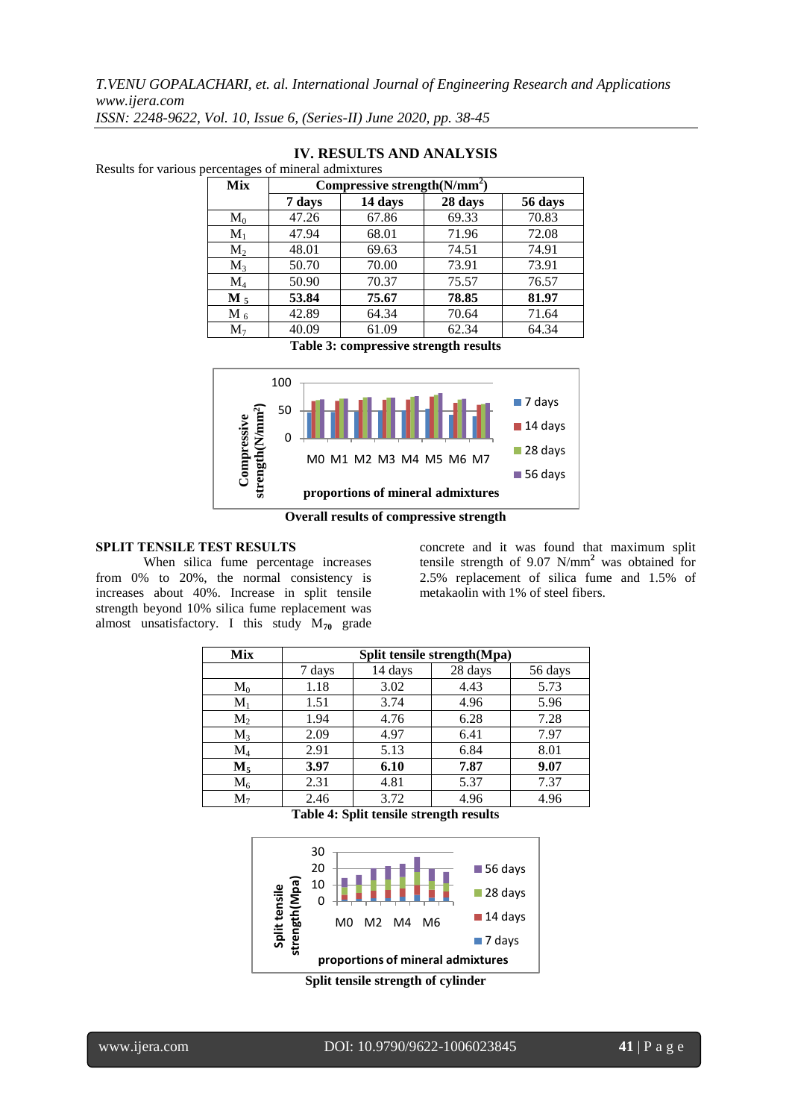| Mix            | Compressive strength $(N/mm^2)$ |         |         |         |  |  |
|----------------|---------------------------------|---------|---------|---------|--|--|
|                | 7 days                          | 14 days | 28 days | 56 days |  |  |
| $\mathbf{M}_0$ | 47.26                           | 67.86   | 69.33   | 70.83   |  |  |
| $M_1$          | 47.94                           | 68.01   | 71.96   | 72.08   |  |  |
| $M_2$          | 48.01                           | 69.63   | 74.51   | 74.91   |  |  |
| $M_3$          | 50.70                           | 70.00   | 73.91   | 73.91   |  |  |
| $\rm M_4$      | 50.90                           | 70.37   | 75.57   | 76.57   |  |  |
| $M_5$          | 53.84                           | 75.67   | 78.85   | 81.97   |  |  |
| $M_6$          | 42.89                           | 64.34   | 70.64   | 71.64   |  |  |
| M <sub>7</sub> | 40.09                           | 61.09   | 62.34   | 64.34   |  |  |

# **IV. RESULTS AND ANALYSIS**

Results for various percentages of mineral admixtures

#### **Table 3: compressive strength results**



**Overall results of compressive strength**

## **SPLIT TENSILE TEST RESULTS**

When silica fume percentage increases from 0% to 20%, the normal consistency is increases about 40%. Increase in split tensile strength beyond 10% silica fume replacement was almost unsatisfactory. I this study M**<sup>70</sup>** grade

concrete and it was found that maximum split tensile strength of 9.07 N/mm**<sup>2</sup>** was obtained for 2.5% replacement of silica fume and 1.5% of metakaolin with 1% of steel fibers.

| Mix            | Split tensile strength(Mpa) |         |         |         |  |  |
|----------------|-----------------------------|---------|---------|---------|--|--|
|                | 7 days                      | 14 days | 28 days | 56 days |  |  |
| $M_0$          | 1.18                        | 3.02    | 4.43    | 5.73    |  |  |
| $M_1$          | 1.51                        | 3.74    | 4.96    | 5.96    |  |  |
| $\mathbf{M}_2$ | 1.94                        | 4.76    | 6.28    | 7.28    |  |  |
| $M_{3}$        | 2.09                        | 4.97    | 6.41    | 7.97    |  |  |
| $M_4$          | 2.91                        | 5.13    | 6.84    | 8.01    |  |  |
| $\mathbf{M}_5$ | 3.97                        | 6.10    | 7.87    | 9.07    |  |  |
| $M_6$          | 2.31                        | 4.81    | 5.37    | 7.37    |  |  |
| $M_{\tau}$     | 2.46                        | 3.72    | 4.96    | 4.96    |  |  |

**Table 4: Split tensile strength results**



**Split tensile strength of cylinder**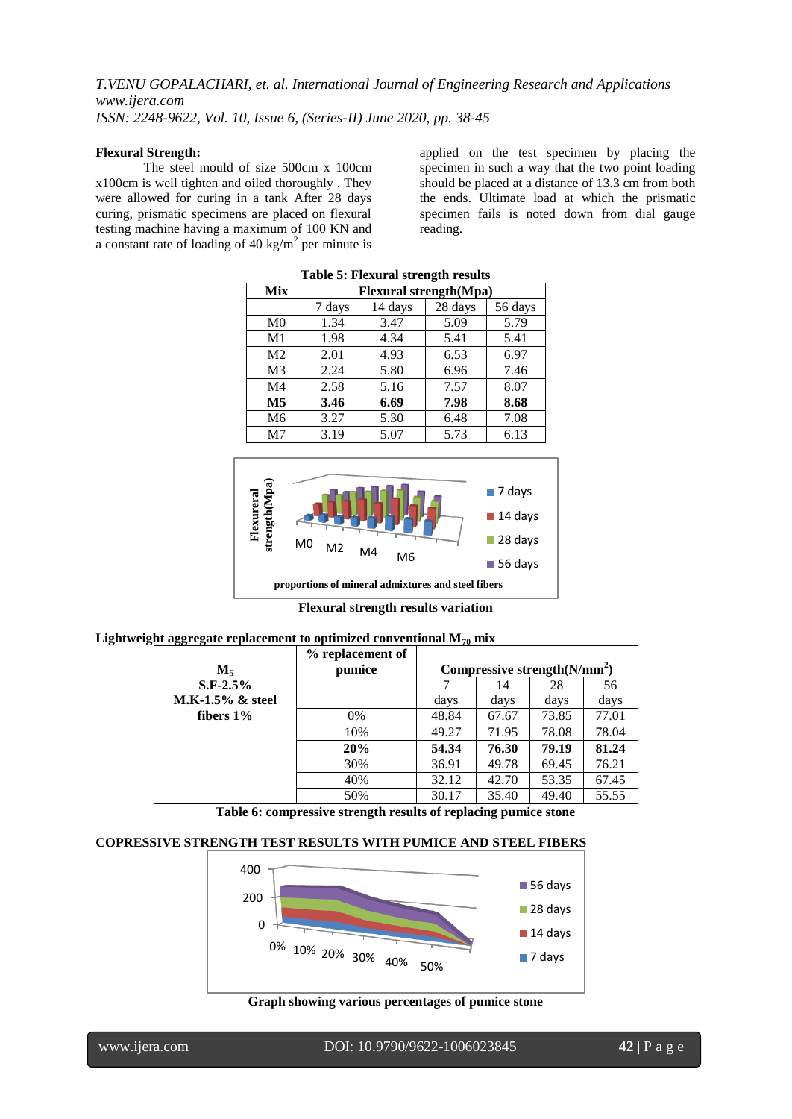#### **Flexural Strength:**

The steel mould of size 500cm x 100cm x100cm is well tighten and oiled thoroughly . They were allowed for curing in a tank After 28 days curing, prismatic specimens are placed on flexural testing machine having a maximum of 100 KN and a constant rate of loading of 40 kg/m<sup>2</sup> per minute is

applied on the test specimen by placing the specimen in such a way that the two point loading should be placed at a distance of 13.3 cm from both the ends. Ultimate load at which the prismatic specimen fails is noted down from dial gauge reading.

| <b>Table 5: Flexural strength results</b> |                                         |      |      |      |  |  |  |
|-------------------------------------------|-----------------------------------------|------|------|------|--|--|--|
| Mix                                       | <b>Flexural strength</b> (Mpa)          |      |      |      |  |  |  |
|                                           | 28 days<br>56 days<br>14 days<br>7 days |      |      |      |  |  |  |
| M <sub>0</sub>                            | 1.34                                    | 3.47 | 5.09 | 5.79 |  |  |  |
| M <sub>1</sub>                            | 1.98                                    | 4.34 | 5.41 | 5.41 |  |  |  |
| M <sub>2</sub>                            | 2.01                                    | 4.93 | 6.53 | 6.97 |  |  |  |
| M <sub>3</sub>                            | 2.24                                    | 5.80 | 6.96 | 7.46 |  |  |  |
| M4                                        | 2.58                                    | 5.16 | 7.57 | 8.07 |  |  |  |
| M <sub>5</sub>                            | 3.46                                    | 6.69 | 7.98 | 8.68 |  |  |  |
| M <sub>6</sub>                            | 3.27                                    | 5.30 | 6.48 | 7.08 |  |  |  |
| M <sub>7</sub>                            | 3.19                                    | 5.07 | 5.73 | 6.13 |  |  |  |



**Flexural strength results variation**

| Lightweight aggregate replacement to optimized conventional $M_{70}$ mix |
|--------------------------------------------------------------------------|
|--------------------------------------------------------------------------|

| $M_{5}$             | % replacement of<br>pumice | Compressive strength $(N/mm^2)$ |       |       |       |
|---------------------|----------------------------|---------------------------------|-------|-------|-------|
| $S.F-2.5%$          |                            |                                 | 14    | 28    | 56    |
| $M.K-1.5\%$ & steel |                            | days                            | days  | days  | days  |
| fibers $1\%$        | 0%                         | 48.84                           | 67.67 | 73.85 | 77.01 |
|                     | 10%                        | 49.27                           | 71.95 | 78.08 | 78.04 |
|                     | 20%                        | 54.34                           | 76.30 | 79.19 | 81.24 |
|                     | 30%                        | 36.91                           | 49.78 | 69.45 | 76.21 |
|                     | 40%                        | 32.12                           | 42.70 | 53.35 | 67.45 |
|                     | 50%                        | 30.17                           | 35.40 | 49.40 | 55.55 |

**Table 6: compressive strength results of replacing pumice stone**

## **COPRESSIVE STRENGTH TEST RESULTS WITH PUMICE AND STEEL FIBERS**



**Graph showing various percentages of pumice stone**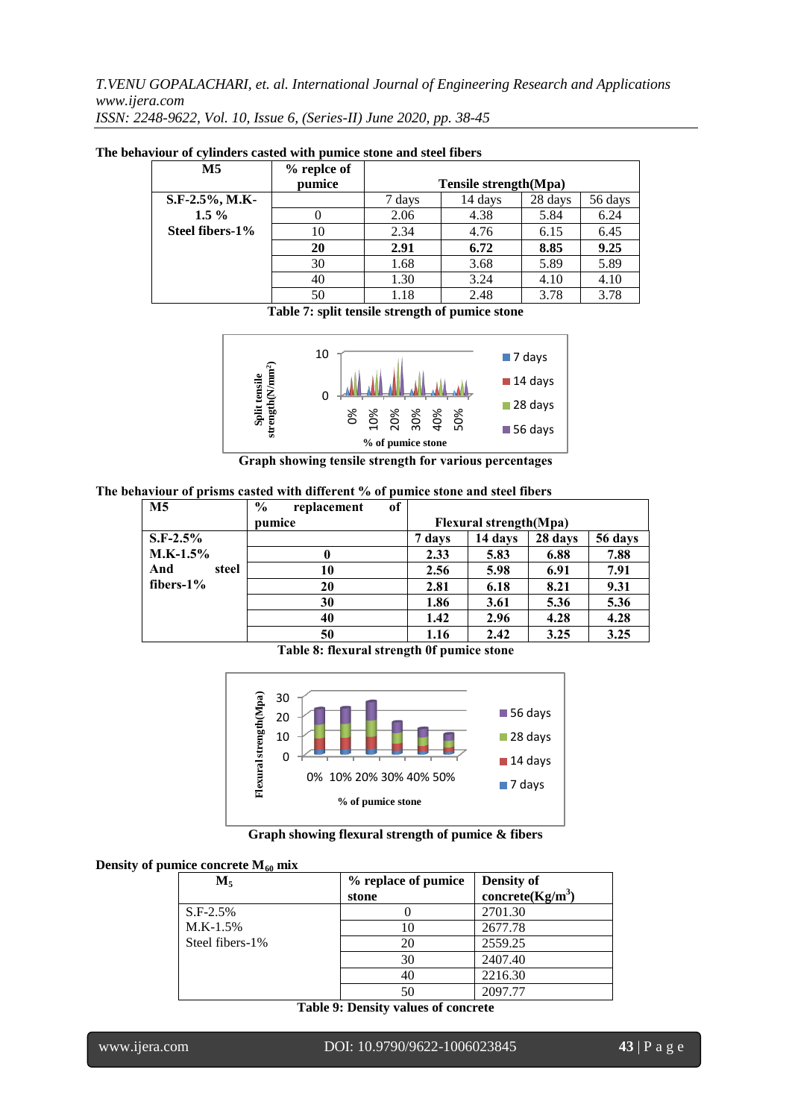| M5              | % replce of |                       |         |         |         |
|-----------------|-------------|-----------------------|---------|---------|---------|
|                 | pumice      | Tensile strength(Mpa) |         |         |         |
| S.F-2.5%, M.K-  |             | 7 days                | 14 days | 28 days | 56 days |
| $1.5\%$         |             | 2.06                  | 4.38    | 5.84    | 6.24    |
| Steel fibers-1% | 10          | 2.34                  | 4.76    | 6.15    | 6.45    |
|                 | 20          | 2.91                  | 6.72    | 8.85    | 9.25    |
|                 | 30          | 1.68                  | 3.68    | 5.89    | 5.89    |
|                 | 40          | 1.30                  | 3.24    | 4.10    | 4.10    |
|                 | 50          | 1.18                  | 2.48    | 3.78    | 3.78    |

**The behaviour of cylinders casted with pumice stone and steel fibers**

**Table 7: split tensile strength of pumice stone**



**Graph showing tensile strength for various percentages**

**The behaviour of prisms casted with different % of pumice stone and steel fibers**

| M <sub>5</sub> | $\frac{6}{9}$<br>of<br>replacement |        |                                |         |         |
|----------------|------------------------------------|--------|--------------------------------|---------|---------|
|                | pumice                             |        | <b>Flexural strength</b> (Mpa) |         |         |
| $S.F-2.5%$     |                                    | 7 days | 14 days                        | 28 days | 56 days |
| $M.K-1.5%$     |                                    | 2.33   | 5.83                           | 6.88    | 7.88    |
| And<br>steel   | 10                                 | 2.56   | 5.98                           | 6.91    | 7.91    |
| fibers- $1\%$  | 20                                 | 2.81   | 6.18                           | 8.21    | 9.31    |
|                | 30                                 | 1.86   | 3.61                           | 5.36    | 5.36    |
|                | 40                                 | 1.42   | 2.96                           | 4.28    | 4.28    |
|                | 50                                 | 1.16   | 2.42                           | 3.25    | 3.25    |

**Table 8: flexural strength 0f pumice stone**



**Graph showing flexural strength of pumice & fibers**

|  |  |  | Density of pumice concrete $M_{60}$ mix |  |  |
|--|--|--|-----------------------------------------|--|--|
|--|--|--|-----------------------------------------|--|--|

| $M_{5}$         | % replace of pumice | <b>Density of</b>    |
|-----------------|---------------------|----------------------|
|                 | stone               | concrete( $Kg/m^3$ ) |
| $S.F-2.5%$      |                     | 2701.30              |
| $M.K-1.5%$      | 10                  | 2677.78              |
| Steel fibers-1% | 20                  | 2559.25              |
|                 | 30                  | 2407.40              |
|                 | 40                  | 2216.30              |
|                 | 50                  | 2097.77              |

**Table 9: Density values of concrete**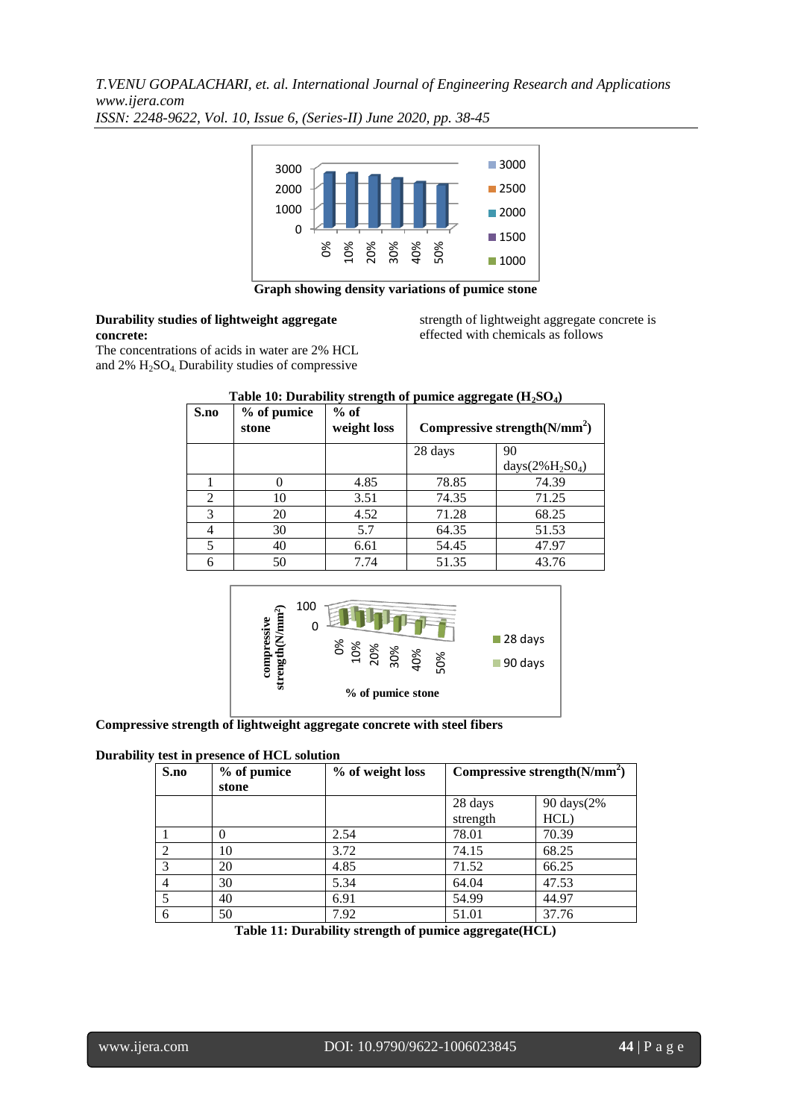

**Graph showing density variations of pumice stone**

## **Durability studies of lightweight aggregate concrete:**

strength of lightweight aggregate concrete is effected with chemicals as follows

The concentrations of acids in water are 2% HCL and  $2\%$  H<sub>2</sub>SO<sub>4</sub>. Durability studies of compressive

| S.no                        | % of pumice<br>stone | $%$ of<br>weight loss | Compressive strength $(N/mm^2)$ |                     |  |
|-----------------------------|----------------------|-----------------------|---------------------------------|---------------------|--|
|                             |                      |                       | 28 days                         | 90                  |  |
|                             |                      |                       |                                 | days $(2\%H_2SO_4)$ |  |
|                             |                      | 4.85                  | 78.85                           | 74.39               |  |
| $\mathcal{D}_{\mathcal{L}}$ | 10                   | 3.51                  | 74.35                           | 71.25               |  |
| 3                           | 20                   | 4.52                  | 71.28                           | 68.25               |  |
|                             | 30                   | 5.7                   | 64.35                           | 51.53               |  |
| 5                           | 40                   | 6.61                  | 54.45                           | 47.97               |  |
| 6                           | 50                   | 7.74                  | 51.35                           | 43.76               |  |

# **Table 10: Durability strength of pumice aggregate (H2SO4)**



## **Compressive strength of lightweight aggregate concrete with steel fibers**

## **Durability test in presence of HCL solution**

| S.no           | % of pumice<br>stone | % of weight loss | Compressive strength $(N/mm^2)$ |            |
|----------------|----------------------|------------------|---------------------------------|------------|
|                |                      |                  | 28 days                         | 90 days(2% |
|                |                      |                  | strength                        | HCL)       |
|                |                      | 2.54             | 78.01                           | 70.39      |
| $\overline{2}$ | 10                   | 3.72             | 74.15                           | 68.25      |
| 3              | 20                   | 4.85             | 71.52                           | 66.25      |
| 4              | 30                   | 5.34             | 64.04                           | 47.53      |
| 5              | 40                   | 6.91             | 54.99                           | 44.97      |
| 6              | 50                   | 7.92             | 51.01                           | 37.76      |

**Table 11: Durability strength of pumice aggregate(HCL)**